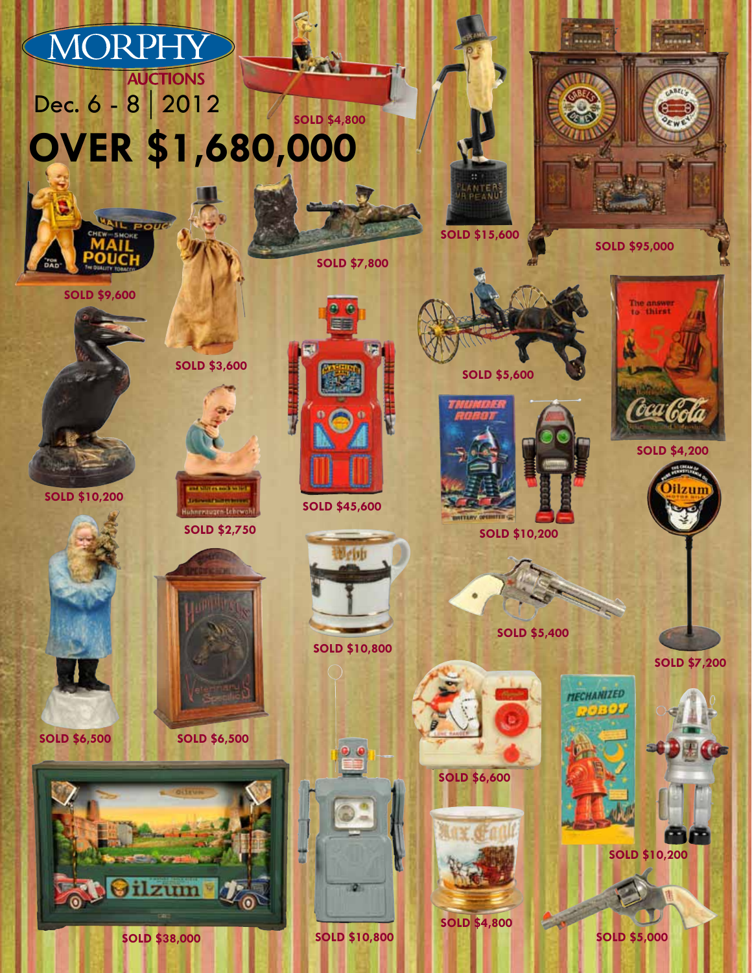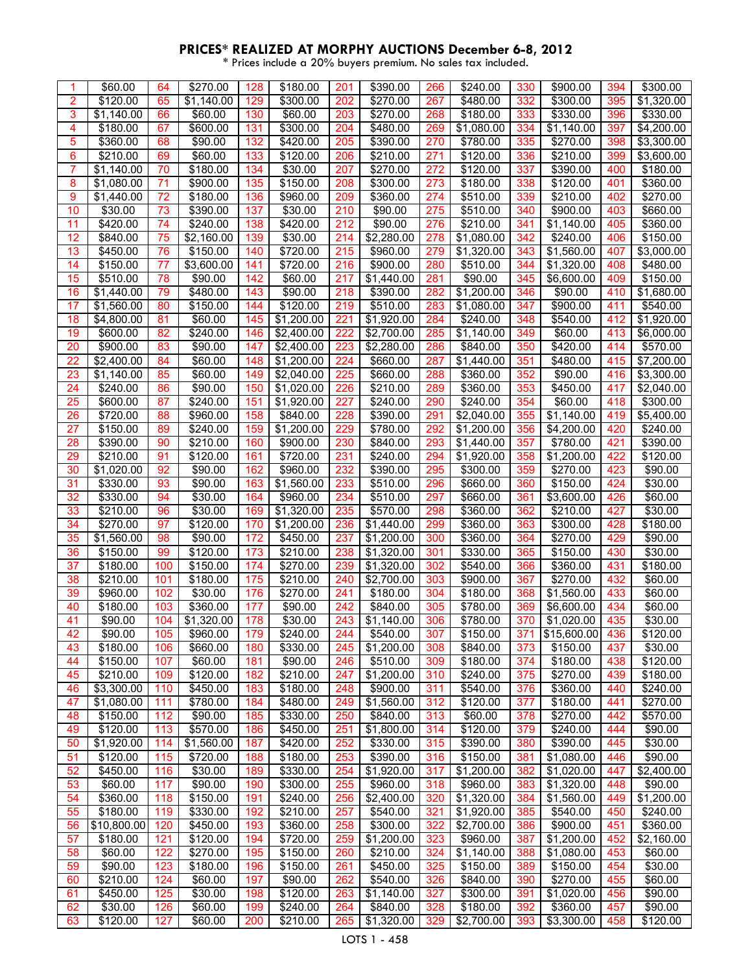| 1              | \$60.00              | 64       | \$270.00            | 128        | \$180.00                 | 201        | \$390.00             | 266        | \$240.00               | 330        | \$900.00            | 394        | \$300.00               |
|----------------|----------------------|----------|---------------------|------------|--------------------------|------------|----------------------|------------|------------------------|------------|---------------------|------------|------------------------|
| $\overline{2}$ | \$120.00             | 65       | \$1,140.00          | 129        | \$300.00                 | 202        | \$270.00             | 267        | \$480.00               | 332        | \$300.00            | 395        | \$1,320.00             |
| 3              | \$1,140.00           | 66       | \$60.00             | 130        | \$60.00                  | 203        | \$270.00             | 268        | \$180.00               | 333        | \$330.00            | 396        | \$330.00               |
| 4              | \$180.00             | 67       | \$600.00            | 131        | \$300.00                 | 204        | \$480.00             | 269        | \$1,080.00             | 334        | \$1,140.00          | 397        | \$4,200.00             |
| 5              | \$360.00             | 68       | \$90.00             | 132        | \$420.00                 | 205        | \$390.00             | 270        | \$780.00               | 335        | \$270.00            | 398        | \$3,300.00             |
| 6              | $\sqrt{$210.00}$     | 69       | \$60.00             | 133        | \$120.00                 | 206        | \$210.00             | 271        | \$120.00               | 336        | \$210.00            | 399        | \$3,600.00             |
| 7              | \$1,140.00           | 70       | \$180.00            | 134        | \$30.00                  | 207        | \$270.00             | 272        | \$120.00               | 337        | \$390.00            | 400        | \$180.00               |
| 8              | \$1,080.00           | 71       | \$900.00            | 135        | \$150.00                 | 208        | \$300.00             | 273        | \$180.00               | 338        | \$120.00            | 401        | \$360.00               |
| 9              | \$1,440.00           | 72       | \$180.00            | 136        | \$960.00                 | 209        | \$360.00             | 274        | \$510.00               | 339        | \$210.00            | 402        | \$270.00               |
| 10             | \$30.00              | 73       | \$390.00            | 137        | \$30.00                  | 210        | \$90.00              | 275        | \$510.00               | 340        | \$900.00            | 403        | \$660.00               |
| 11             | \$420.00             | 74       | \$240.00            | 138        | \$420.00                 | 212        | \$90.00              | 276        | \$210.00               | 341        | \$1,140.00          | 405        | \$360.00               |
| 12             | \$840.00             | 75       | \$2,160.00          | 139        | \$30.00                  | 214        | \$2,280.00           | 278        | \$1,080.00             | 342        | \$240.00            | 406        | \$150.00               |
| 13             | $\overline{$}450.00$ | 76       | \$150.00            | 140        | \$720.00                 | 215        | $\frac{1}{9}960.00$  | 279        |                        | 343        | \$1,560.00          | 407        | \$3,000.00             |
| 14             | \$150.00             | 77       | \$3,600.00          | 141        | \$720.00                 | 216        | \$900.00             | 280        | \$1,320.00<br>\$510.00 | 344        | \$1,320.00          | 408        | \$480.00               |
| 15             | \$510.00             | 78       | \$90.00             | 142        | \$60.00                  | 217        | \$1,440.00           | 281        | \$90.00                | 345        | \$6,600.00          | 409        | \$150.00               |
| 16             | \$1,440.00           | 79       | \$480.00            | 143        | \$90.00                  | 218        |                      | 282        | \$1,200.00             |            | \$90.00             | 410        |                        |
|                |                      |          |                     | 144        |                          |            | \$390.00             |            |                        | 346        |                     |            | \$1,680.00             |
| 17             | \$1,560.00           | 80       | \$150.00            |            | \$120.00                 | 219        | \$510.00             | 283        | \$1,080.00             | 347        | \$900.00            | 411        | \$540.00<br>\$1,920.00 |
| 18             | \$4,800.00           | 81       | \$60.00             | 145        | \$1,200.00               | 221        | \$1,920.00           | 284        | \$240.00               | 348        | \$540.00            | 412        |                        |
| 19             | \$600.00             | 82       | \$240.00            | 146        | \$2,400.00               | 222        | \$2,700.00           | 285        | \$1,140.00             | 349        | \$60.00             | 413        | \$6,000.00             |
| 20             | \$900.00             | 83       | \$90.00             | 147        | \$2,400.00               | 223        | \$2,280.00           | 286        | \$840.00               | 350        | \$420.00            | 414        | \$570.00               |
| 22             | \$2,400.00           | 84       | \$60.00             | 148        | \$1,200.00               | 224        | \$660.00             | 287        | \$1,440.00             | 351        | \$480.00            | 415        | \$7,200.00             |
| 23             | \$1,140.00           | 85       | \$60.00             | 149        | \$2,040.00               | 225        | \$660.00             | 288        | \$360.00               | 352        | \$90.00             | 416        | \$3,300.00             |
| 24<br>25       | \$240.00<br>\$600.00 | 86<br>87 | \$90.00<br>\$240.00 | 150<br>151 | \$1,020.00<br>\$1,920.00 | 226<br>227 | \$210.00<br>\$240.00 | 289<br>290 | \$360.00<br>\$240.00   | 353<br>354 | \$450.00<br>\$60.00 | 417<br>418 | \$2,040.00<br>\$300.00 |
|                |                      |          |                     |            |                          |            |                      |            |                        |            |                     |            |                        |
| 26             | \$720.00             | 88       | \$960.00            | 158        | \$840.00                 | 228        | \$390.00             | 291        | \$2,040.00             | 355        | \$1,140.00          | 419        | \$5,400.00             |
| 27             | \$150.00             | 89       | \$240.00            | 159        | \$1,200.00               | 229        | \$780.00             | 292        | \$1,200.00             | 356        | \$4,200.00          | 420        | \$240.00               |
| 28             | \$390.00             | 90       | \$210.00            | 160        | \$900.00                 | 230        | \$840.00             | 293        | \$1,440.00             | 357        | \$780.00            | 421        | \$390.00               |
| 29             | \$210.00             | 91       | \$120.00            | 161        | \$720.00                 | 231        | \$240.00             | 294        | \$1,920.00             | 358        | \$1,200.00          | 422        | \$120.00               |
| 30             | \$1,020.00           | 92       | \$90.00             | 162        | \$960.00                 | 232        | \$390.00             | 295        | \$300.00               | 359        | \$270.00            | 423        | \$90.00                |
| 31             | \$330.00             | 93       | \$90.00             | 163        | \$1,560.00               | 233        | \$510.00             | 296        | \$660.00               | 360        | \$150.00            | 424        | \$30.00                |
| 32             | \$330.00             | 94       | \$30.00             | 164        | \$960.00                 | 234        | \$510.00             | 297        | \$660.00               | 361        | \$3,600.00          | 426        | \$60.00                |
| 33             | \$210.00             | 96       | \$30.00             | 169        | \$1,320.00               | 235        | \$570.00             | 298        | \$360.00               | 362        | \$210.00            | 427        | \$30.00                |
| 34             | \$270.00             | 97       | \$120.00            | 170        | \$1,200.00               | 236        | \$1,440.00           | 299        | \$360.00               | 363        | \$300.00            | 428        | \$180.00               |
| 35             | \$1,560.00           | 98       | \$90.00             | 172        | \$450.00                 | 237        | \$1,200.00           | 300        | \$360.00               | 364        | \$270.00            | 429        | \$90.00                |
| 36             | \$150.00             | 99       | \$120.00            | 173        | \$210.00                 | 238        | \$1,320.00           | 301        | \$330.00               | 365        | \$150.00            | 430        | \$30.00                |
| 37             | \$180.00             | 100      | \$150.00            | 174        | \$270.00                 | 239        | \$1,320.00           | 302        | \$540.00               | 366        | \$360.00            | 431        | \$180.00               |
| 38             | \$210.00             | 101      | \$180.00            | 175        | \$210.00                 | 240        | \$2,700.00           | 303        | \$900.00               | 367        | \$270.00            | 432        | \$60.00                |
| 39             | \$960.00             | 102      | \$30.00             | 176        | \$270.00                 | 241        | \$180.00             | 304        | \$180.00               | 368        | \$1,560.00          | 433        | \$60.00                |
| 40             | \$180.00             | 103      | \$360.00            | 177        | \$90.00                  | 242        | \$840.00             | 305        | \$780.00               | 369        | \$6,600.00          | 434        | \$60.00                |
| 41             | \$90.00              | 104      | \$1,320.00          | 178        | \$30.00                  | 243        | \$1,140.00           | 306        | \$780.00               | 370        | \$1,020.00          | 435        | \$30.00                |
| 42             | \$90.00              | 105      | \$960.00            | 179        | \$240.00                 | 244        | \$540.00             | 307        | \$150.00               | 371        | \$15,600.00         | 436        | \$120.00               |
| 43             | \$180.00             | 106      | \$660.00            | 180        | \$330.00                 | 245        | \$1,200.00           | 308        | \$840.00               | 373        | \$150.00            | 437        | \$30.00                |
| 44             | \$150.00             | 107      | \$60.00             | 181        | \$90.00                  | 246        | \$510.00             | 309        | \$180.00               | 374        | \$180.00            | 438        | \$120.00               |
| 45             | \$210.00             | 109      | \$120.00            | 182        | \$210.00                 | 247        | \$1,200.00           | 310        | \$240.00               | 375        | \$270.00            | 439        | \$180.00               |
| 46             | \$3,300.00           | 110      | \$450.00            | 183        | \$180.00                 | 248        | \$900.00             | 311        | \$540.00               | 376        | \$360.00            | 440        | \$240.00               |
| 47             | \$1,080.00           | 111      | \$780.00            | 184        | \$480.00                 | 249        | \$1,560.00           | 312        | \$120.00               | 377        | \$180.00            | 441        | \$270.00               |
| 48             | \$150.00             | 112      | \$90.00             | 185        | \$330.00                 | 250        | \$840.00             | 313        | \$60.00                | 378        | \$270.00            | 442        | \$570.00               |
| 49             | \$120.00             | 113      | \$570.00            | 186        | \$450.00                 | 251        | \$1,800.00           | 314        | \$120.00               | 379        | \$240.00            | 444        | \$90.00                |
| 50             | \$1,920.00           | 114      | \$1,560.00          | 187        | \$420.00                 | 252        | \$330.00             | 315        | \$390.00               | 380        | \$390.00            | 445        | \$30.00                |
| 51             | \$120.00             | 115      | \$720.00            | 188        | \$180.00                 | 253        | \$390.00             | 316        | \$150.00               | 381        | \$1,080.00          | 446        | \$90.00                |
| 52             | \$450.00             | 116      | \$30.00             | 189        | \$330.00                 | 254        | \$1,920.00           | 317        | \$1,200.00             | 382        | \$1,020.00          | 447        | \$2,400.00             |
| 53             | \$60.00              | 117      | \$90.00             | 190        | \$300.00                 | 255        | \$960.00             | 318        | \$960.00               | 383        | \$1,320.00          | 448        | \$90.00                |
| 54             | \$360.00             | 118      | \$150.00            | 191        | \$240.00                 | 256        | \$2,400.00           | 320        | \$1,320.00             | 384        | \$1,560.00          | 449        | \$1,200.00             |
| 55             | \$180.00             | 119      | \$330.00            | 192        | \$210.00                 | 257        | \$540.00             | 321        | \$1,920.00             | 385        | \$540.00            | 450        | \$240.00               |
| 56             | \$10,800.00          | 120      | \$450.00            | 193        | \$360.00                 | 258        | \$300.00             | 322        | \$2,700.00             | 386        | \$900.00            | 451        | \$360.00               |
| 57             | \$180.00             | 121      | \$120.00            | 194        | \$720.00                 | 259        | \$1,200.00           | 323        | \$960.00               | 387        | \$1,200.00          | 452        | \$2,160.00             |
| 58             | \$60.00              | 122      | \$270.00            | 195        | \$150.00                 | 260        | \$210.00             | 324        | \$1,140.00             | 388        | \$1,080.00          | 453        | \$60.00                |
| 59             | \$90.00              | 123      | \$180.00            | 196        | \$150.00                 | 261        | \$450.00             | 325        | \$150.00               | 389        | \$150.00            | 454        | \$30.00                |
| 60             | \$210.00             | 124      | \$60.00             | 197        | \$90.00                  | 262        | \$540.00             | 326        | \$840.00               | 390        | \$270.00            | 455        | \$60.00                |
| 61             | \$450.00             | 125      | \$30.00             | 198        | \$120.00                 | 263        | \$1,140.00           | 327        | \$300.00               | 391        | \$1,020.00          | 456        | \$90.00                |
| 62             | \$30.00              | 126      | \$60.00             | 199        | \$240.00                 | 264        | \$840.00             | 328        | \$180.00               | 392        | \$360.00            | 457        | \$90.00                |
| 63             | \$120.00             | 127      | \$60.00             | 200        | \$210.00                 | 265        | \$1,320.00           | 329        | \$2,700.00             | 393        | \$3,300.00          | 458        | \$120.00               |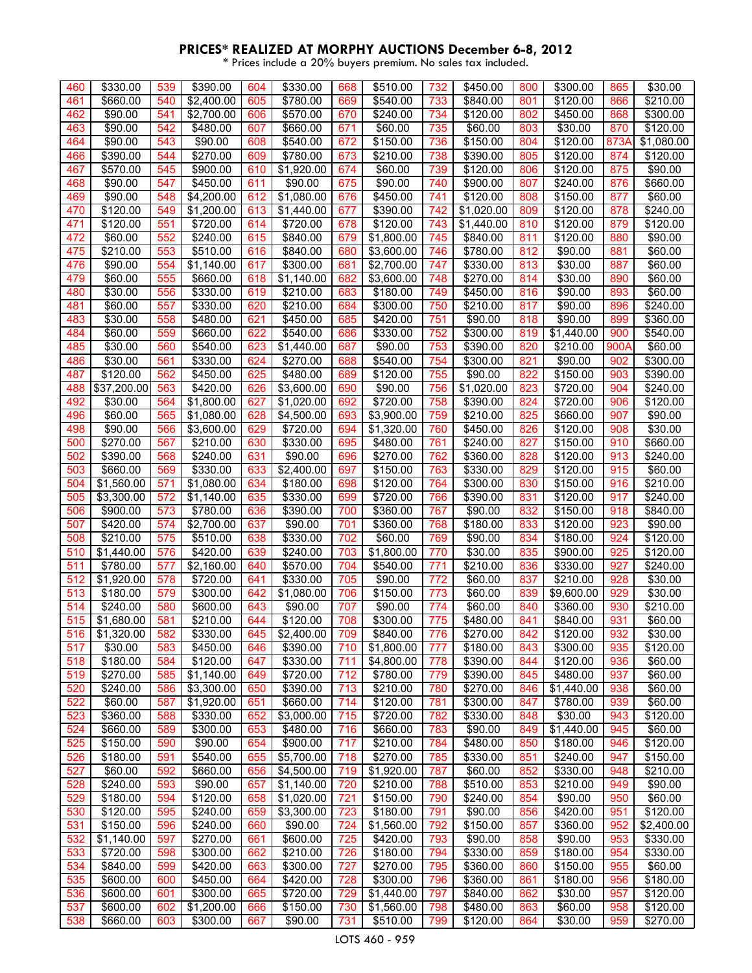| 460 | \$330.00               | 539 | \$390.00   | 604 | \$330.00            | 668 | \$510.00            | 732 | \$450.00   | 800 | \$300.00             | 865  | \$30.00    |
|-----|------------------------|-----|------------|-----|---------------------|-----|---------------------|-----|------------|-----|----------------------|------|------------|
| 461 | \$660.00               | 540 | \$2,400.00 | 605 | \$780.00            | 669 | \$540.00            | 733 | \$840.00   | 801 | \$120.00             | 866  | \$210.00   |
| 462 | \$90.00                | 541 | \$2,700.00 | 606 | \$570.00            | 670 | \$240.00            | 734 | \$120.00   | 802 | \$450.00             | 868  | \$300.00   |
| 463 | \$90.00                | 542 | \$480.00   | 607 | \$660.00            | 671 | \$60.00             | 735 | \$60.00    | 803 | \$30.00              | 870  | \$120.00   |
| 464 | \$90.00                | 543 | \$90.00    | 608 | \$540.00            | 672 | \$150.00            | 736 | \$150.00   | 804 | \$120.00             | 873A | \$1,080.00 |
| 466 | \$390.00               | 544 | \$270.00   | 609 | \$780.00            | 673 | \$210.00            | 738 | \$390.00   | 805 | \$120.00             | 874  | \$120.00   |
| 467 | \$570.00               | 545 | \$900.00   | 610 | \$1,920.00          | 674 | \$60.00             | 739 | \$120.00   | 806 | \$120.00             | 875  | \$90.00    |
| 468 | \$90.00                | 547 | \$450.00   | 611 | \$90.00             | 675 | \$90.00             | 740 | \$900.00   | 807 | \$240.00             | 876  | \$660.00   |
| 469 | \$90.00                | 548 | \$4,200.00 | 612 | \$1,080.00          | 676 | \$450.00            | 741 | \$120.00   | 808 | \$150.00             | 877  | \$60.00    |
| 470 | \$120.00               | 549 | \$1,200.00 | 613 | \$1,440.00          | 677 | \$390.00            | 742 | \$1,020.00 | 809 | \$120.00             | 878  | \$240.00   |
| 471 | \$120.00               | 551 | \$720.00   | 614 | \$720.00            | 678 | \$120.00            | 743 | \$1,440.00 | 810 | \$120.00             | 879  | \$120.00   |
| 472 | \$60.00                | 552 | \$240.00   | 615 | \$840.00            | 679 | \$1,800.00          | 745 | \$840.00   | 811 | \$120.00             | 880  | \$90.00    |
| 475 | \$210.00               | 553 | \$510.00   | 616 | \$840.00            | 680 | \$3,600.00          | 746 | \$780.00   | 812 | \$90.00              | 881  | \$60.00    |
| 476 | \$90.00                | 554 | \$1,140.00 | 617 | \$300.00            | 681 | \$2,700.00          | 747 | \$330.00   | 813 | \$30.00              | 887  | \$60.00    |
| 479 | \$60.00                | 555 | \$660.00   | 618 | \$1,140.00          | 682 | \$3,600.00          | 748 | \$270.00   | 814 | \$30.00              | 890  | \$60.00    |
| 480 | \$30.00                | 556 | \$330.00   | 619 | \$210.00            | 683 | \$180.00            | 749 | \$450.00   | 816 | \$90.00              | 893  | \$60.00    |
| 481 | \$60.00                | 557 | \$330.00   | 620 | \$210.00            | 684 | \$300.00            | 750 | \$210.00   | 817 | \$90.00              | 896  | \$240.00   |
| 483 | \$30.00                | 558 | \$480.00   | 621 | \$450.00            | 685 | \$420.00            | 751 | \$90.00    | 818 | \$90.00              | 899  | \$360.00   |
| 484 | \$60.00                | 559 | \$660.00   | 622 | \$540.00            | 686 | \$330.00            | 752 | \$300.00   | 819 | \$1,440.00           | 900  | \$540.00   |
| 485 | $\overline{$}30.00$    | 560 | \$540.00   | 623 | \$1,440.00          | 687 | \$90.00             | 753 | \$390.00   | 820 | $\overline{$}210.00$ | 900A | \$60.00    |
| 486 | \$30.00                | 561 | \$330.00   | 624 | \$270.00            | 688 | \$540.00            | 754 | \$300.00   | 821 | \$90.00              | 902  | \$300.00   |
| 487 | \$120.00               | 562 | \$450.00   | 625 | \$480.00            | 689 | \$120.00            | 755 | \$90.00    | 822 | \$150.00             | 903  | \$390.00   |
| 488 | \$37,200.00            | 563 | \$420.00   | 626 | \$3,600.00          | 690 | \$90.00             | 756 | \$1,020.00 | 823 | \$720.00             | 904  | \$240.00   |
| 492 | \$30.00                | 564 | \$1,800.00 | 627 | \$1,020.00          | 692 | \$720.00            | 758 | \$390.00   | 824 | \$720.00             | 906  | \$120.00   |
| 496 | \$60.00                | 565 | \$1,080.00 | 628 | \$4,500.00          | 693 | \$3,900.00          | 759 | \$210.00   | 825 | \$660.00             | 907  | \$90.00    |
| 498 | \$90.00                | 566 | \$3,600.00 | 629 | \$720.00            | 694 | \$1,320.00          | 760 | \$450.00   | 826 | \$120.00             | 908  | \$30.00    |
| 500 | \$270.00               | 567 | \$210.00   | 630 | \$330.00            | 695 | $\sqrt{480.00}$     | 761 | \$240.00   | 827 | \$150.00             | 910  | \$660.00   |
| 502 | \$390.00               | 568 | \$240.00   | 631 | \$90.00             | 696 | \$270.00            | 762 | \$360.00   | 828 | \$120.00             | 913  | \$240.00   |
| 503 | \$660.00               | 569 | \$330.00   | 633 | \$2,400.00          | 697 | \$150.00            | 763 | \$330.00   | 829 | \$120.00             | 915  | \$60.00    |
| 504 | \$1,560.00             | 571 | \$1,080.00 | 634 | \$180.00            | 698 | \$120.00            | 764 | \$300.00   | 830 | \$150.00             | 916  | \$210.00   |
| 505 | \$3,300.00             | 572 | \$1,140.00 | 635 | \$330.00            | 699 | \$720.00            | 766 | \$390.00   | 831 | \$120.00             | 917  | \$240.00   |
| 506 | \$900.00               | 573 | \$780.00   | 636 | \$390.00            | 700 | \$360.00            | 767 | \$90.00    | 832 | \$150.00             | 918  | \$840.00   |
| 507 | \$420.00               | 574 | \$2,700.00 | 637 | \$90.00             | 701 | $\frac{1}{3}360.00$ | 768 | \$180.00   | 833 | \$120.00             | 923  | \$90.00    |
| 508 | \$210.00               | 575 | \$510.00   | 638 | \$330.00            | 702 | \$60.00             | 769 | \$90.00    | 834 | \$180.00             | 924  | \$120.00   |
| 510 | \$1,440.00             | 576 | \$420.00   | 639 | \$240.00            | 703 | \$1,800.00          | 770 | \$30.00    | 835 | \$900.00             | 925  | \$120.00   |
| 511 | \$780.00               | 577 | \$2,160.00 | 640 | \$570.00            | 704 | \$540.00            | 771 | \$210.00   | 836 | \$330.00             | 927  | \$240.00   |
| 512 | $\overline{$}1,920.00$ | 578 | \$720.00   | 641 | \$330.00            | 705 | \$90.00             | 772 | \$60.00    | 837 | \$210.00             | 928  | \$30.00    |
| 513 | \$180.00               | 579 | \$300.00   | 642 | \$1,080.00          | 706 | \$150.00            | 773 | \$60.00    | 839 | \$9,600.00           | 929  | \$30.00    |
| 514 | \$240.00               | 580 | \$600.00   | 643 | \$90.00             | 707 | \$90.00             | 774 | \$60.00    | 840 | \$360.00             | 930  | \$210.00   |
| 515 | \$1,680.00             | 581 | \$210.00   | 644 | \$120.00            | 708 | \$300.00            | 775 | \$480.00   | 841 | \$840.00             | 931  | \$60.00    |
| 516 | \$1,320.00             | 582 | \$330.00   | 645 | \$2,400.00          | 709 | \$840.00            | 776 | \$270.00   | 842 | \$120.00             | 932  | \$30.00    |
| 517 | \$30.00                | 583 | \$450.00   | 646 | \$390.00            | 710 | \$1,800.00          | 777 | \$180.00   | 843 | $\frac{1}{3}300.00$  | 935  | \$120.00   |
| 518 | \$180.00               | 584 | \$120.00   | 647 | \$330.00            | 711 | \$4,800.00          | 778 | \$390.00   | 844 | \$120.00             | 936  | \$60.00    |
| 519 | \$270.00               | 585 | \$1,140.00 | 649 | \$720.00            | 712 | \$780.00            | 779 | \$390.00   | 845 | \$480.00             | 937  | \$60.00    |
| 520 | \$240.00               | 586 | \$3,300.00 | 650 | \$390.00            | 713 | \$210.00            | 780 | \$270.00   | 846 | \$1,440.00           | 938  | \$60.00    |
| 522 | \$60.00                | 587 | \$1,920.00 | 651 | \$660.00            | 714 | \$120.00            | 781 | \$300.00   | 847 | \$780.00             | 939  | \$60.00    |
| 523 | \$360.00               | 588 | \$330.00   | 652 | \$3,000.00          | 715 | \$720.00            | 782 | \$330.00   | 848 | \$30.00              | 943  | \$120.00   |
| 524 | \$660.00               | 589 | \$300.00   | 653 | \$480.00            | 716 | \$660.00            | 783 | \$90.00    | 849 | \$1,440.00           | 945  | \$60.00    |
| 525 | \$150.00               | 590 | \$90.00    | 654 | \$900.00            | 717 | \$210.00            | 784 | \$480.00   | 850 | \$180.00             | 946  | \$120.00   |
| 526 | \$180.00               | 591 | \$540.00   | 655 | \$5,700.00          | 718 | \$270.00            | 785 | \$330.00   | 851 | \$240.00             | 947  | \$150.00   |
| 527 | \$60.00                | 592 | \$660.00   | 656 | \$4,500.00          | 719 | \$1,920.00          | 787 | \$60.00    | 852 | \$330.00             | 948  | \$210.00   |
| 528 | \$240.00               | 593 | \$90.00    | 657 | \$1,140.00          | 720 | \$210.00            | 788 | \$510.00   | 853 | \$210.00             | 949  | \$90.00    |
| 529 | \$180.00               | 594 | \$120.00   | 658 | \$1,020.00          | 721 | \$150.00            | 790 | \$240.00   | 854 | \$90.00              | 950  | \$60.00    |
| 530 | \$120.00               | 595 | \$240.00   | 659 | \$3,300.00          | 723 | \$180.00            | 791 | \$90.00    | 856 | $\frac{1}{1}420.00$  | 951  | \$120.00   |
| 531 | \$150.00               | 596 | \$240.00   | 660 | \$90.00             | 724 | \$1,560.00          | 792 | \$150.00   | 857 | \$360.00             | 952  | \$2,400.00 |
| 532 | \$1,140.00             | 597 | \$270.00   | 661 | \$600.00            | 725 | \$420.00            | 793 | \$90.00    | 858 | \$90.00              | 953  | \$330.00   |
| 533 | \$720.00               | 598 | \$300.00   | 662 | \$210.00            | 726 | \$180.00            | 794 | \$330.00   | 859 | \$180.00             | 954  | \$330.00   |
| 534 | \$840.00               | 599 | \$420.00   | 663 | $\frac{1}{1}300.00$ | 727 | \$270.00            | 795 | \$360.00   | 860 | \$150.00             | 955  | \$60.00    |
| 535 | \$600.00               | 600 | \$450.00   | 664 | \$420.00            | 728 | \$300.00            | 796 | \$360.00   | 861 | \$180.00             | 956  | \$180.00   |
| 536 | \$600.00               | 601 | \$300.00   | 665 | \$720.00            | 729 | \$1,440.00          | 797 | \$840.00   | 862 | \$30.00              | 957  | \$120.00   |
| 537 | \$600.00               | 602 | \$1,200.00 | 666 | \$150.00            | 730 | \$1,560.00          | 798 | \$480.00   | 863 | \$60.00              | 958  | \$120.00   |
| 538 | \$660.00               | 603 | \$300.00   | 667 | \$90.00             | 731 | \$510.00            | 799 | \$120.00   | 864 | \$30.00              | 959  | \$270.00   |
|     |                        |     |            |     |                     |     |                     |     |            |     |                      |      |            |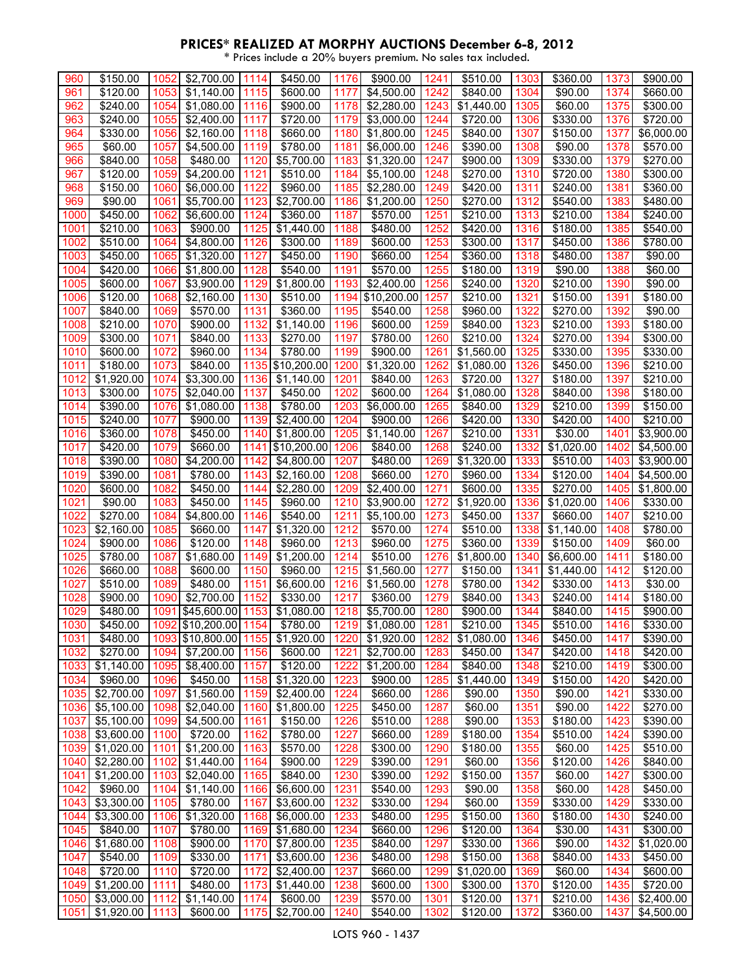| 960  | \$150.00         | 1052 | \$2,700.00             | 1114 | \$450.00             | 1176 | \$900.00               | 1241 | \$510.00              | 1303 | \$360.00   | 1373 | \$900.00   |
|------|------------------|------|------------------------|------|----------------------|------|------------------------|------|-----------------------|------|------------|------|------------|
| 961  | \$120.00         | 1053 | \$1,140.00             | 1115 | \$600.00             | 1177 | \$4,500.00             | 1242 | \$840.00              | 1304 | \$90.00    | 1374 | \$660.00   |
| 962  | \$240.00         | 1054 | \$1,080.00             | 1116 | \$900.00             | 1178 | \$2,280.00             | 1243 | \$1,440.00            | 1305 | \$60.00    | 1375 | \$300.00   |
|      |                  |      |                        |      |                      |      |                        |      |                       |      |            |      |            |
| 963  | \$240.00         | 1055 | \$2,400.00             | 1117 | \$720.00             | 1179 | \$3,000.00             | 1244 | \$720.00              | 1306 | \$330.00   | 1376 | \$720.00   |
| 964  | \$330.00         | 1056 | \$2,160.00             | 1118 | \$660.00             | 1180 | \$1,800.00             | 1245 | \$840.00              | 1307 | \$150.00   | 1377 | \$6,000.00 |
| 965  | \$60.00          | 1057 | \$4,500.00             | 1119 | \$780.00             | 1181 | \$6,000.00             | 1246 | \$390.00              | 1308 | \$90.00    | 1378 | \$570.00   |
| 966  | \$840.00         | 1058 | \$480.00               | 1120 | \$5,700.00           | 1183 | $\overline{1,320.00}$  | 1247 | \$900.00              | 1309 | \$330.00   | 1379 | \$270.00   |
| 967  | \$120.00         | 1059 | \$4,200.00             | 1121 | \$510.00             | 1184 | \$5,100.00             | 1248 | \$270.00              | 1310 | \$720.00   | 1380 | \$300.00   |
|      |                  |      |                        |      |                      |      |                        |      |                       |      |            |      |            |
| 968  | \$150.00         | 1060 | \$6,000.00             | 1122 | \$960.00             | 1185 | $\overline{$}2,280.00$ | 1249 | \$420.00              | 1311 | \$240.00   | 1381 | \$360.00   |
| 969  | \$90.00          | 1061 | \$5,700.00             | 1123 | \$2,700.00           | 1186 | \$1,200.00             | 1250 | \$270.00              | 1312 | \$540.00   | 1383 | \$480.00   |
| 1000 | \$450.00         | 1062 | \$6,600.00             | 1124 | \$360.00             | 1187 | \$570.00               | 1251 | \$210.00              | 1313 | \$210.00   | 1384 | \$240.00   |
| 1001 | \$210.00         | 1063 | \$900.00               | 1125 | \$1,440.00           | 1188 | \$480.00               | 1252 | \$420.00              | 1316 | \$180.00   | 1385 | \$540.00   |
|      |                  |      |                        |      |                      |      |                        |      |                       |      |            |      |            |
| 1002 | \$510.00         | 1064 | \$4,800.00             | 1126 | \$300.00             | 1189 | \$600.00               | 1253 | \$300.00              | 1317 | \$450.00   | 1386 | \$780.00   |
| 1003 | \$450.00         | 1065 | \$1,320.00             | 1127 | \$450.00             | 1190 | \$660.00               | 1254 | \$360.00              | 1318 | \$480.00   | 1387 | \$90.00    |
| 1004 | \$420.00         | 1066 | $\overline{$}1,800.00$ | 1128 | \$540.00             | 1191 | \$570.00               | 1255 | \$180.00              | 1319 | \$90.00    | 1388 | \$60.00    |
| 1005 | \$600.00         | 1067 | \$3,900.00             | 1129 | \$1,800.00           | 1193 | \$2,400.00             | 1256 | \$240.00              | 1320 | \$210.00   | 1390 | \$90.00    |
| 1006 | \$120.00         | 1068 | \$2,160.00             | 1130 | \$510.00             | 1194 | \$10,200.00            | 1257 | \$210.00              | 1321 | \$150.00   | 1391 | \$180.00   |
|      |                  |      |                        |      |                      |      |                        |      |                       |      |            |      |            |
| 1007 | \$840.00         | 1069 | \$570.00               | 1131 | \$360.00             | 1195 | \$540.00               | 1258 | \$960.00              | 1322 | \$270.00   | 1392 | \$90.00    |
| 1008 | \$210.00         | 1070 | \$900.00               | 1132 | \$1,140.00           | 1196 | \$600.00               | 1259 | \$840.00              | 1323 | \$210.00   | 1393 | \$180.00   |
| 1009 | \$300.00         | 1071 | \$840.00               | 1133 | \$270.00             | 1197 | \$780.00               | 1260 | \$210.00              | 1324 | \$270.00   | 1394 | \$300.00   |
| 1010 | \$600.00         | 1072 | \$960.00               | 1134 | \$780.00             | 1199 | \$900.00               | 1261 | \$1,560.00            | 1325 | \$330.00   | 1395 | \$330.00   |
| 1011 | \$180.00         | 1073 | \$840.00               | 1135 | \$10,200.00          | 1200 | $\overline{1,320.00}$  | 1262 | \$1,080.00            | 1326 | \$450.00   | 1396 | \$210.00   |
|      |                  |      |                        |      |                      |      |                        |      |                       |      |            |      |            |
| 1012 | \$1,920.00       | 1074 | \$3,300.00             | 1136 | \$1,140.00           | 1201 | \$840.00               | 1263 | \$720.00              | 1327 | \$180.00   | 1397 | \$210.00   |
| 1013 | \$300.00         | 1075 | \$2,040.00             | 1137 | \$450.00             | 1202 | \$600.00               | 1264 | $\overline{1,080.00}$ | 1328 | \$840.00   | 1398 | \$180.00   |
| 1014 | \$390.00         | 1076 | \$1,080.00             | 1138 | \$780.00             | 1203 | \$6,000.00             | 1265 | \$840.00              | 1329 | \$210.00   | 1399 | \$150.00   |
| 1015 | \$240.00         | 1077 | \$900.00               | 1139 | \$2,400.00           | 1204 | \$900.00               | 1266 | \$420.00              | 1330 | \$420.00   | 1400 | \$210.00   |
| 1016 | \$360.00         | 1078 | \$450.00               | 1140 | \$1,800.00           | 1205 | \$1,140.00             | 1267 | \$210.00              | 1331 | \$30.00    | 1401 | \$3,900.00 |
|      |                  |      |                        |      |                      |      |                        |      |                       |      |            |      |            |
| 1017 | \$420.00         | 1079 | \$660.00               | 1141 | \$10,200.00          | 1206 | \$840.00               | 1268 | \$240.00              | 1332 | \$1,020.00 | 1402 | \$4,500.00 |
| 1018 | \$390.00         | 1080 | \$4,200.00             | 1142 | \$4,800.00           | 1207 | \$480.00               | 1269 | \$1,320.00            | 1333 | \$510.00   | 1403 | \$3,900.00 |
| 1019 | \$390.00         | 1081 | \$780.00               | 1143 | \$2,160.00           | 1208 | \$660.00               | 1270 | \$960.00              | 1334 | \$120.00   | 1404 | \$4,500.00 |
| 1020 | \$600.00         | 1082 | \$450.00               | 1144 | \$2,280.00           | 1209 | \$2,400.00             | 1271 | \$600.00              | 1335 | \$270.00   | 1405 | \$1,800.00 |
| 1021 | \$90.00          | 1083 | \$450.00               | 1145 | \$960.00             | 1210 | \$3,900.00             | 1272 | $\overline{1,920.00}$ | 1336 | \$1,020.00 | 1406 | \$330.00   |
|      |                  |      |                        |      |                      |      |                        |      |                       |      |            |      |            |
| 1022 | \$270.00         | 1084 | \$4,800.00             | 1146 | \$540.00             | 1211 | \$5,100.00             | 1273 | \$450.00              | 1337 | \$660.00   | 1407 | \$210.00   |
| 1023 | \$2,160.00       | 1085 | \$660.00               | 1147 | \$1,320.00           | 1212 | \$570.00               | 1274 | \$510.00              | 1338 | \$1,140.00 | 1408 | \$780.00   |
| 1024 | \$900.00         | 1086 | \$120.00               | 1148 | \$960.00             | 1213 | \$960.00               | 1275 | \$360.00              | 1339 | \$150.00   | 1409 | \$60.00    |
| 1025 | \$780.00         | 1087 | \$1,680.00             | 1149 | \$1,200.00           | 1214 | \$510.00               | 1276 | \$1,800.00            | 1340 | \$6,600.00 | 1411 | \$180.00   |
| 1026 | \$660.00         | 1088 | \$600.00               | 1150 | \$960.00             | 1215 | \$1,560.00             | 1277 | \$150.00              | 1341 | \$1,440.00 | 1412 | \$120.00   |
|      |                  |      |                        |      |                      |      |                        |      |                       |      |            |      |            |
| 1027 | \$510.00         | 1089 | \$480.00               | 1151 | \$6,600.00           | 1216 | \$1,560.00             | 1278 | \$780.00              | 1342 | \$330.00   | 1413 | \$30.00    |
| 1028 | \$900.00         | 1090 | \$2,700.00             | 1152 | $\overline{$}330.00$ | 1217 | \$360.00               | 1279 | \$840.00              | 1343 | \$240.00   | 1414 | \$180.00   |
| 1029 | \$480.00         | 1091 | \$45,600.00            | 1153 | \$1,080.00           | 1218 | \$5,700.00             | 1280 | \$900.00              | 1344 | \$840.00   | 1415 | \$900.00   |
| 1030 | \$450.00         |      | 1092 \$10,200.00       | 1154 | \$780.00             | 1219 | \$1,080.00             | 1281 | \$210.00              | 1345 | \$510.00   | 1416 | \$330.00   |
| 1031 | $\sqrt{$480.00}$ |      | 1093 \$10,800.00       | 1155 | \$1,920.00           | 1220 | \$1,920.00             | 1282 | \$1,080.00            | 1346 | \$450.00   | 1417 | \$390.00   |
|      |                  |      |                        |      |                      |      |                        |      |                       |      |            |      |            |
| 1032 | \$270.00         | 1094 | \$7,200.00             | 1156 | \$600.00             | 1221 | \$2,700.00             | 1283 | \$450.00              | 1347 | \$420.00   | 1418 | \$420.00   |
| 1033 | \$1,140.00       | 1095 | \$8,400.00             | 1157 | \$120.00             | 1222 | \$1,200.00             | 1284 | \$840.00              | 1348 | \$210.00   | 1419 | \$300.00   |
| 1034 | \$960.00         | 1096 | \$450.00               | 1158 | \$1,320.00           | 1223 | \$900.00               | 1285 | \$1,440.00            | 1349 | \$150.00   | 1420 | \$420.00   |
| 1035 | \$2,700.00       | 1097 | \$1,560.00             | 1159 | \$2,400.00           | 1224 | \$660.00               | 1286 | \$90.00               | 1350 | \$90.00    | 1421 | \$330.00   |
| 1036 | \$5,100.00       | 1098 | \$2,040.00             | 1160 | \$1,800.00           | 1225 | \$450.00               | 1287 | \$60.00               | 1351 | \$90.00    | 1422 | \$270.00   |
|      |                  |      |                        |      |                      |      |                        |      |                       |      |            |      |            |
| 1037 | \$5,100.00       | 1099 | \$4,500.00             | 1161 | \$150.00             | 1226 | \$510.00               | 1288 | \$90.00               | 1353 | \$180.00   | 1423 | \$390.00   |
| 1038 | \$3,600.00       | 1100 | \$720.00               | 1162 | \$780.00             | 1227 | \$660.00               | 1289 | \$180.00              | 1354 | \$510.00   | 1424 | \$390.00   |
| 1039 | \$1,020.00       | 1101 | $\sqrt{$1,200.00}$     | 1163 | \$570.00             | 1228 | \$300.00               | 1290 | \$180.00              | 1355 | \$60.00    | 1425 | \$510.00   |
| 1040 | \$2,280.00       | 1102 | \$1,440.00             | 1164 | \$900.00             | 1229 | \$390.00               | 1291 | \$60.00               | 1356 | \$120.00   | 1426 | \$840.00   |
| 1041 | \$1,200.00       | 1103 | \$2,040.00             | 1165 | \$840.00             | 1230 | \$390.00               | 1292 | \$150.00              | 1357 | \$60.00    | 1427 | \$300.00   |
|      |                  |      |                        |      |                      |      |                        |      |                       |      |            |      |            |
| 1042 | \$960.00         | 1104 | \$1,140.00             | 1166 | \$6,600.00           | 1231 | \$540.00               | 1293 | \$90.00               | 1358 | \$60.00    | 1428 | \$450.00   |
| 1043 | \$3,300.00       | 1105 | \$780.00               | 1167 | \$3,600.00           | 1232 | \$330.00               | 1294 | \$60.00               | 1359 | \$330.00   | 1429 | \$330.00   |
| 1044 | \$3,300.00       | 1106 | \$1,320.00             | 1168 | \$6,000.00           | 1233 | \$480.00               | 1295 | \$150.00              | 1360 | \$180.00   | 1430 | \$240.00   |
| 1045 | \$840.00         | 1107 | \$780.00               | 1169 | \$1,680.00           | 1234 | \$660.00               | 1296 | \$120.00              | 1364 | \$30.00    | 1431 | \$300.00   |
| 1046 | \$1,680.00       | 1108 | \$900.00               | 1170 | \$7,800.00           | 1235 | \$840.00               | 1297 | \$330.00              | 1366 | \$90.00    | 1432 | \$1,020.00 |
|      |                  |      |                        |      |                      |      |                        |      |                       |      |            |      |            |
| 1047 | \$540.00         | 1109 | \$330.00               | 1171 | \$3,600.00           | 1236 | \$480.00               | 1298 | \$150.00              | 1368 | \$840.00   | 1433 | \$450.00   |
| 1048 | \$720.00         | 1110 | \$720.00               | 1172 | \$2,400.00           | 1237 | \$660.00               | 1299 | \$1,020.00            | 1369 | \$60.00    | 1434 | \$600.00   |
| 1049 | \$1,200.00       | 1111 | \$480.00               | 1173 | \$1,440.00           | 1238 | \$600.00               | 1300 | \$300.00              | 1370 | \$120.00   | 1435 | \$720.00   |
| 1050 | \$3,000.00       | 1112 | \$1,140.00             | 1174 | \$600.00             | 1239 | \$570.00               | 1301 | \$120.00              | 1371 | \$210.00   | 1436 | \$2,400.00 |
| 1051 | \$1,920.00       | 1113 | \$600.00               | 1175 | \$2,700.00           | 1240 | \$540.00               | 1302 | \$120.00              | 1372 | \$360.00   | 1437 | \$4,500.00 |
|      |                  |      |                        |      |                      |      |                        |      |                       |      |            |      |            |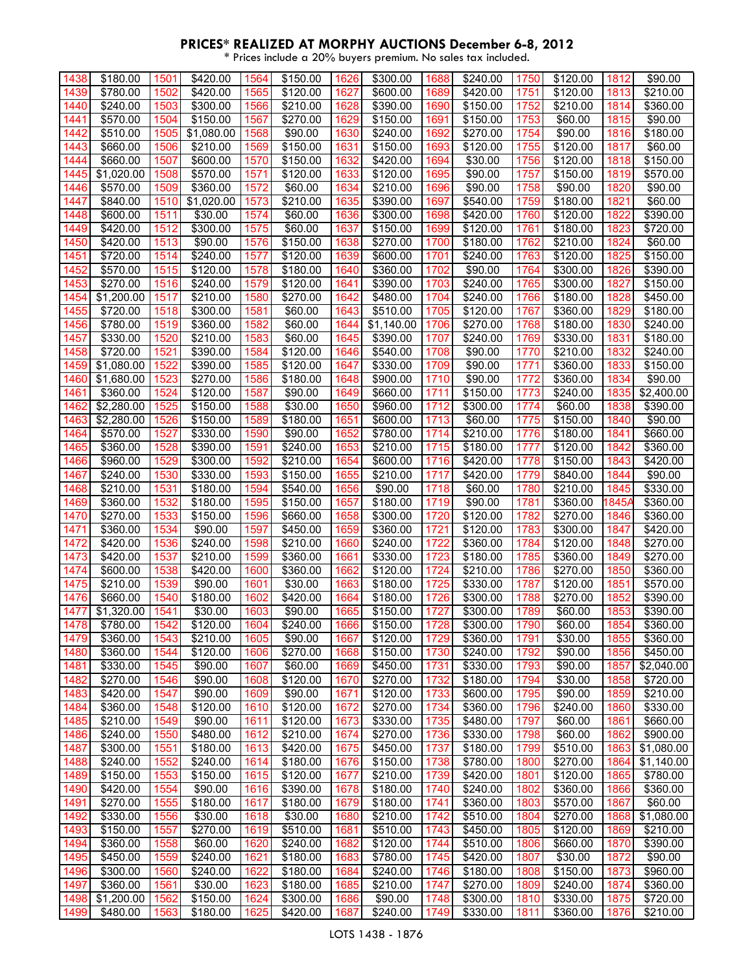| 1438 | \$180.00             | 1501 | \$420.00   | 1564 | \$150.00         | 1626         | \$300.00         | 1688 | \$240.00 | 1750 | \$120.00 | 1812  | \$90.00          |
|------|----------------------|------|------------|------|------------------|--------------|------------------|------|----------|------|----------|-------|------------------|
| 1439 | \$780.00             | 1502 | \$420.00   | 1565 | \$120.00         | 1627         | \$600.00         | 1689 | \$420.00 | 1751 | \$120.00 | 1813  | \$210.00         |
|      |                      |      |            |      |                  |              |                  |      |          |      |          |       |                  |
| 1440 | \$240.00             | 1503 | \$300.00   | 1566 | \$210.00         | 1628         | \$390.00         | 1690 | \$150.00 | 1752 | \$210.00 | 1814  | \$360.00         |
| 1441 | \$570.00             | 1504 | \$150.00   | 1567 | \$270.00         | 1629         | \$150.00         | 1691 | \$150.00 | 1753 | \$60.00  | 1815  | \$90.00          |
| 1442 | \$510.00             | 1505 | \$1,080.00 | 1568 | \$90.00          | 1630         | \$240.00         | 1692 | \$270.00 | 1754 | \$90.00  | 1816  | \$180.00         |
| 1443 | \$660.00             | 1506 | \$210.00   | 1569 | \$150.00         | 1631         | \$150.00         | 1693 | \$120.00 | 1755 | \$120.00 | 1817  | \$60.00          |
| 1444 | $\frac{1}{6660.00}$  | 1507 | \$600.00   | 1570 | \$150.00         | 1632         | $\sqrt{$420.00}$ | 1694 | \$30.00  | 1756 | \$120.00 | 1818  | \$150.00         |
| 1445 | \$1,020.00           | 1508 | \$570.00   | 1571 | \$120.00         | 1633         | \$120.00         | 1695 | \$90.00  | 1757 | \$150.00 | 1819  | \$570.00         |
| 1446 | \$570.00             | 1509 | \$360.00   | 1572 | \$60.00          | 1634         | \$210.00         | 1696 | \$90.00  | 1758 | \$90.00  | 1820  | \$90.00          |
| 1447 | \$840.00             | 1510 | \$1,020.00 | 1573 | \$210.00         | 1635         | \$390.00         | 1697 | \$540.00 | 1759 | \$180.00 | 1821  | \$60.00          |
| 1448 | \$600.00             | 1511 | \$30.00    | 1574 | \$60.00          | 1636         | \$300.00         | 1698 | \$420.00 | 1760 | \$120.00 | 1822  | \$390.00         |
| 1449 | \$420.00             | 1512 | \$300.00   | 1575 | \$60.00          | 1637         | \$150.00         | 1699 | \$120.00 | 1761 | \$180.00 | 1823  | \$720.00         |
| 1450 | \$420.00             | 1513 | \$90.00    | 1576 | \$150.00         | 1638         | \$270.00         | 1700 | \$180.00 | 1762 | \$210.00 | 1824  | \$60.00          |
| 1451 | \$720.00             | 1514 | \$240.00   | 1577 | \$120.00         | 1639         | \$600.00         | 1701 | \$240.00 | 1763 | \$120.00 | 1825  | \$150.00         |
| 1452 | \$570.00             | 1515 | \$120.00   | 1578 | \$180.00         | 1640         | \$360.00         | 1702 | \$90.00  | 1764 | \$300.00 | 1826  | \$390.00         |
| 1453 | \$270.00             | 1516 | \$240.00   | 1579 | \$120.00         | 1641         | \$390.00         | 1703 | \$240.00 | 1765 | \$300.00 | 1827  | \$150.00         |
| 1454 | \$1,200.00           | 1517 | \$210.00   | 1580 | \$270.00         | 1642         | \$480.00         | 1704 | \$240.00 | 1766 | \$180.00 | 1828  | \$450.00         |
|      |                      |      |            |      |                  |              |                  |      |          |      | \$360.00 |       |                  |
| 1455 | \$720.00             | 1518 | \$300.00   | 1581 | \$60.00          | 1643         | \$510.00         | 1705 | \$120.00 | 1767 |          | 1829  | \$180.00         |
| 1456 | \$780.00             | 1519 | \$360.00   | 1582 | \$60.00          | 1644         | \$1,140.00       | 1706 | \$270.00 | 1768 | \$180.00 | 1830  | \$240.00         |
| 1457 | \$330.00             | 1520 | \$210.00   | 1583 | \$60.00          | 1645         | \$390.00         | 1707 | \$240.00 | 1769 | \$330.00 | 1831  | \$180.00         |
| 1458 | \$720.00             | 1521 | \$390.00   | 1584 | \$120.00         | 1646         | $\sqrt{$}540.00$ | 1708 | \$90.00  | 1770 | \$210.00 | 1832  | \$240.00         |
| 1459 | \$1,080.00           | 1522 | \$390.00   | 1585 | \$120.00         | 1647         | \$330.00         | 1709 | \$90.00  | 1771 | \$360.00 | 1833  | \$150.00         |
| 1460 | \$1,680.00           | 1523 | \$270.00   | 1586 | \$180.00         | 1648         | \$900.00         | 1710 | \$90.00  | 1772 | \$360.00 | 1834  | \$90.00          |
| 1461 | \$360.00             | 1524 | \$120.00   | 1587 | \$90.00          | 1649         | \$660.00         | 1711 | \$150.00 | 1773 | \$240.00 | 1835  | \$2,400.00       |
| 1462 | \$2,280.00           | 1525 | \$150.00   | 1588 | \$30.00          | 1650         | \$960.00         | 1712 | \$300.00 | 1774 | \$60.00  | 1838  | \$390.00         |
| 1463 | \$2,280.00           | 1526 | \$150.00   | 1589 | \$180.00         | 1651         | \$600.00         | 1713 | \$60.00  | 1775 | \$150.00 | 1840  | \$90.00          |
| 1464 | $\overline{$}570.00$ | 1527 | \$330.00   | 1590 | \$90.00          | 1652         | \$780.00         | 1714 | \$210.00 | 1776 | \$180.00 | 1841  | \$660.00         |
| 1465 | \$360.00             | 1528 | \$390.00   | 1591 | \$240.00         | 1653         | \$210.00         | 1715 | \$180.00 | 1777 | \$120.00 | 1842  | \$360.00         |
| 1466 | \$960.00             | 1529 | \$300.00   | 1592 | \$210.00         | 1654         | \$600.00         | 1716 | \$420.00 | 1778 | \$150.00 | 1843  | \$420.00         |
| 1467 | \$240.00             | 1530 | \$330.00   | 1593 | \$150.00         | 1655         | \$210.00         | 1717 | \$420.00 | 1779 | \$840.00 | 1844  | \$90.00          |
| 1468 | \$210.00             | 1531 | \$180.00   | 1594 | \$540.00         | 1656         | \$90.00          | 1718 | \$60.00  | 1780 | \$210.00 | 1845  | \$330.00         |
| 1469 | \$360.00             | 1532 | \$180.00   | 1595 | \$150.00         | 1657         | \$180.00         | 1719 | \$90.00  | 1781 | \$360.00 | 1845A | \$360.00         |
| 1470 | \$270.00             | 1533 | \$150.00   | 1596 | \$660.00         | 1658         | \$300.00         | 1720 | \$120.00 | 1782 | \$270.00 | 1846  | \$360.00         |
| 1471 | \$360.00             | 1534 | \$90.00    | 1597 | \$450.00         | 1659         | \$360.00         | 1721 | \$120.00 | 1783 | \$300.00 | 1847  | \$420.00         |
| 1472 | \$420.00             | 1536 | \$240.00   | 1598 | \$210.00         | 1660         | \$240.00         | 1722 | \$360.00 | 1784 | \$120.00 | 1848  | \$270.00         |
| 1473 | \$420.00             | 1537 | \$210.00   | 1599 | \$360.00         | 1661         | \$330.00         | 1723 | \$180.00 | 1785 | \$360.00 | 1849  | $\sqrt{$270.00}$ |
|      | \$600.00             |      |            |      |                  |              |                  |      |          |      |          |       |                  |
| 1474 |                      | 1538 | \$420.00   | 1600 | \$360.00         | 1662<br>1663 | \$120.00         | 1724 | \$210.00 | 1786 | \$270.00 | 1850  | \$360.00         |
| 1475 | \$210.00             | 1539 | \$90.00    | 1601 | \$30.00          |              | \$180.00         | 1725 | \$330.00 | 1787 | \$120.00 | 1851  | \$570.00         |
| 1476 | \$660.00             | 1540 | \$180.00   | 1602 | \$420.00         | 1664         | \$180.00         | 1726 | \$300.00 | 1788 | \$270.00 | 1852  | \$390.00         |
| 1477 | \$1,320.00           | 1541 | \$30.00    | 1603 | \$90.00          | 1665         | \$150.00         | 1727 | \$300.00 | 1789 | \$60.00  | 1853  | \$390.00         |
| 1478 | \$780.00             | 1542 | \$120.00   | 1604 | \$240.00         | 1666         | \$150.00         | 1728 | \$300.00 | 1790 | \$60.00  | 1854  | \$360.00         |
| 1479 | \$360.00             | 1543 | \$210.00   | 1605 | \$90.00          | 1667         | \$120.00         | 1729 | \$360.00 | 1791 | \$30.00  | 1855  | \$360.00         |
| 1480 | \$360.00             | 1544 | \$120.00   | 1606 | \$270.00         | 1668         | \$150.00         | 1730 | \$240.00 | 1792 | \$90.00  | 1856  | \$450.00         |
| 1481 | \$330.00             | 1545 | \$90.00    | 1607 | \$60.00          | 1669         | \$450.00         | 1731 | \$330.00 | 1793 | \$90.00  | 1857  | \$2,040.00       |
| 1482 | \$270.00             | 1546 | \$90.00    | 1608 | $\sqrt{$120.00}$ | 1670         | \$270.00         | 1732 | \$180.00 | 1794 | \$30.00  | 1858  | \$720.00         |
| 1483 | \$420.00             | 1547 | \$90.00    | 1609 | \$90.00          | 1671         | \$120.00         | 1733 | \$600.00 | 1795 | \$90.00  | 1859  | \$210.00         |
| 1484 | \$360.00             | 1548 | \$120.00   | 1610 | \$120.00         | 1672         | \$270.00         | 1734 | \$360.00 | 1796 | \$240.00 | 1860  | \$330.00         |
| 1485 | \$210.00             | 1549 | \$90.00    | 1611 | \$120.00         | 1673         | \$330.00         | 1735 | \$480.00 | 1797 | \$60.00  | 1861  | \$660.00         |
| 1486 | \$240.00             | 1550 | \$480.00   | 1612 | \$210.00         | 1674         | \$270.00         | 1736 | \$330.00 | 1798 | \$60.00  | 1862  | \$900.00         |
| 1487 | \$300.00             | 1551 | \$180.00   | 1613 | \$420.00         | 1675         | \$450.00         | 1737 | \$180.00 | 1799 | \$510.00 | 1863  | \$1,080.00       |
| 1488 | \$240.00             | 1552 | \$240.00   | 1614 | \$180.00         | 1676         | \$150.00         | 1738 | \$780.00 | 1800 | \$270.00 | 1864  | \$1,140.00       |
| 1489 | \$150.00             | 1553 | \$150.00   | 1615 | \$120.00         | 1677         | \$210.00         | 1739 | \$420.00 | 1801 | \$120.00 | 1865  | \$780.00         |
| 1490 | \$420.00             | 1554 | \$90.00    | 1616 | \$390.00         | 1678         | \$180.00         | 1740 | \$240.00 | 1802 | \$360.00 | 1866  | \$360.00         |
| 1491 | \$270.00             | 1555 | \$180.00   | 1617 | \$180.00         | 1679         | \$180.00         | 1741 | \$360.00 | 1803 | \$570.00 | 1867  | \$60.00          |
| 1492 | \$330.00             | 1556 | \$30.00    | 1618 | \$30.00          | 1680         | \$210.00         | 1742 | \$510.00 | 1804 | \$270.00 | 1868  | \$1,080.00       |
| 1493 | \$150.00             | 1557 | \$270.00   | 1619 | \$510.00         | 1681         | \$510.00         | 1743 | \$450.00 | 1805 | \$120.00 | 1869  | \$210.00         |
| 1494 | \$360.00             | 1558 | \$60.00    | 1620 | \$240.00         | 1682         | \$120.00         | 1744 | \$510.00 | 1806 | \$660.00 | 1870  | \$390.00         |
|      | \$450.00             | 1559 | \$240.00   | 1621 | \$180.00         |              |                  |      |          | 1807 | \$30.00  |       | \$90.00          |
| 1495 |                      |      |            |      |                  | 1683         | \$780.00         | 1745 | \$420.00 |      |          | 1872  |                  |
| 1496 | \$300.00             | 1560 | \$240.00   | 1622 | \$180.00         | 1684         | \$240.00         | 1746 | \$180.00 | 1808 | \$150.00 | 1873  | \$960.00         |
| 1497 | \$360.00             | 1561 | \$30.00    | 1623 | \$180.00         | 1685         | \$210.00         | 1747 | \$270.00 | 1809 | \$240.00 | 1874  | \$360.00         |
| 1498 | \$1,200.00           | 1562 | \$150.00   | 1624 | \$300.00         | 1686         | \$90.00          | 1748 | \$300.00 | 1810 | \$330.00 | 1875  | \$720.00         |
| 1499 | \$480.00             | 1563 | \$180.00   | 1625 | \$420.00         | 1687         | \$240.00         | 1749 | \$330.00 | 1811 | \$360.00 | 1876  | \$210.00         |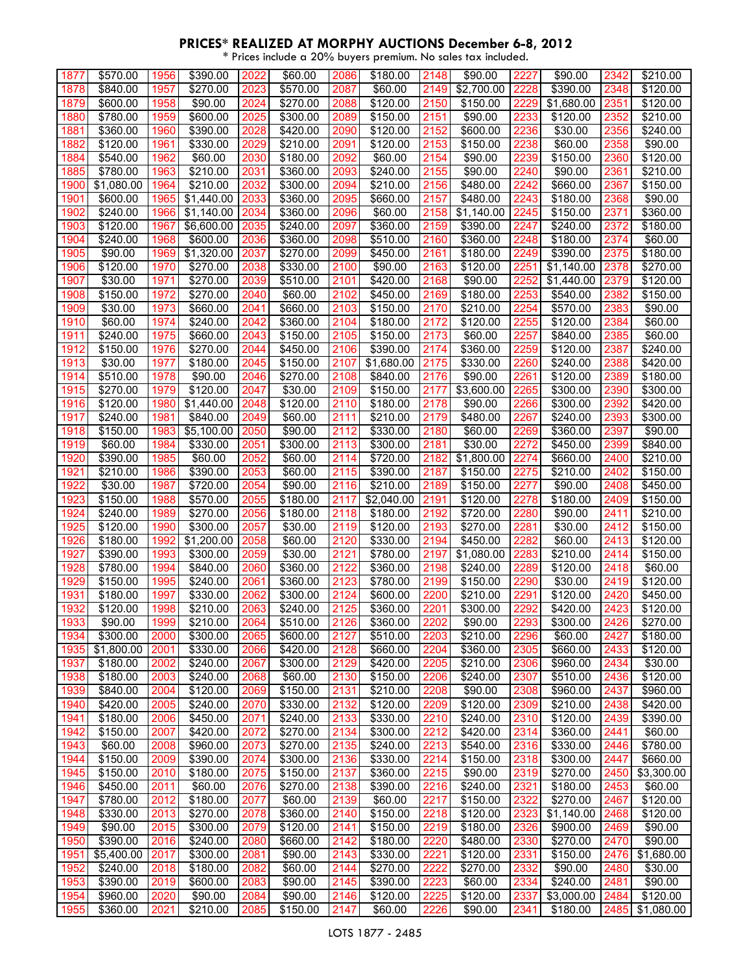| 1877 | \$570.00   | 1956 | \$390.00         | 2022 | \$60.00              | 2086 | \$180.00   | 2148 | \$90.00    | 2227 | \$90.00    | 2342 | \$210.00             |
|------|------------|------|------------------|------|----------------------|------|------------|------|------------|------|------------|------|----------------------|
| 1878 | \$840.00   | 1957 | \$270.00         | 2023 | \$570.00             | 2087 | \$60.00    | 2149 | \$2,700.00 | 2228 | \$390.00   | 2348 | \$120.00             |
| 1879 | \$600.00   | 1958 | \$90.00          | 2024 | \$270.00             | 2088 | \$120.00   | 2150 | \$150.00   | 2229 | \$1,680.00 | 2351 | \$120.00             |
| 1880 | \$780.00   | 1959 | \$600.00         | 2025 | \$300.00             | 2089 | \$150.00   | 2151 | \$90.00    | 2233 | \$120.00   | 2352 | \$210.00             |
|      |            |      |                  |      |                      |      |            |      |            |      |            |      |                      |
| 1881 | \$360.00   | 1960 | \$390.00         | 2028 | \$420.00             | 2090 | \$120.00   | 2152 | \$600.00   | 2236 | \$30.00    | 2356 | $\frac{1}{2}240.00$  |
| 1882 | \$120.00   | 1961 | \$330.00         | 2029 | \$210.00             | 2091 | \$120.00   | 2153 | \$150.00   | 2238 | \$60.00    | 2358 | \$90.00              |
| 1884 | \$540.00   | 1962 | \$60.00          | 2030 | $\overline{$}180.00$ | 2092 | \$60.00    | 2154 | \$90.00    | 2239 | \$150.00   | 2360 | \$120.00             |
| 1885 | \$780.00   | 1963 | \$210.00         | 2031 | \$360.00             | 2093 | \$240.00   | 2155 | \$90.00    | 2240 | \$90.00    | 2361 | \$210.00             |
| 1900 | \$1,080.00 | 1964 | \$210.00         | 2032 | \$300.00             | 2094 | \$210.00   | 2156 | \$480.00   | 2242 | \$660.00   | 2367 | \$150.00             |
|      |            |      |                  |      |                      |      |            |      |            |      |            |      |                      |
| 1901 | \$600.00   | 1965 | \$1,440.00       | 2033 | \$360.00             | 2095 | \$660.00   | 2157 | \$480.00   | 2243 | \$180.00   | 2368 | \$90.00              |
| 1902 | \$240.00   | 1966 | \$1,140.00       | 2034 | \$360.00             | 2096 | \$60.00    | 2158 | \$1,140.00 | 2245 | \$150.00   | 2371 | \$360.00             |
| 1903 | \$120.00   | 1967 | \$6,600.00       | 2035 | \$240.00             | 2097 | \$360.00   | 2159 | \$390.00   | 2247 | \$240.00   | 2372 | \$180.00             |
| 1904 | \$240.00   | 1968 | \$600.00         | 2036 | \$360.00             | 2098 | \$510.00   | 2160 | \$360.00   | 2248 | \$180.00   | 2374 | \$60.00              |
| 1905 | \$90.00    | 1969 | \$1,320.00       | 2037 | \$270.00             | 2099 | \$450.00   | 2161 | \$180.00   | 2249 | \$390.00   | 2375 | \$180.00             |
| 1906 | \$120.00   | 1970 | $\sqrt{$270.00}$ | 2038 | \$330.00             | 2100 | \$90.00    | 2163 | \$120.00   | 225' | \$1,140.00 | 2378 | \$270.00             |
|      |            |      |                  |      |                      |      |            |      |            |      |            |      |                      |
| 1907 | \$30.00    | 1971 | \$270.00         | 2039 | \$510.00             | 2101 | \$420.00   | 2168 | \$90.00    | 2252 | \$1,440.00 | 2379 | \$120.00             |
| 1908 | \$150.00   | 1972 | \$270.00         | 2040 | \$60.00              | 2102 | \$450.00   | 2169 | \$180.00   | 2253 | \$540.00   | 2382 | \$150.00             |
| 1909 | \$30.00    | 1973 | \$660.00         | 2041 | \$660.00             | 2103 | \$150.00   | 2170 | \$210.00   | 2254 | \$570.00   | 2383 | \$90.00              |
| 1910 | \$60.00    | 1974 | \$240.00         | 2042 | \$360.00             | 2104 | \$180.00   | 2172 | \$120.00   | 2255 | \$120.00   | 2384 | \$60.00              |
| 1911 | \$240.00   | 1975 | \$660.00         | 2043 | \$150.00             | 2105 | \$150.00   | 2173 | \$60.00    | 2257 | \$840.00   | 2385 | \$60.00              |
|      |            |      |                  |      |                      | 2106 | \$390.00   |      |            | 2259 |            | 2387 |                      |
| 1912 | \$150.00   | 1976 | \$270.00         | 2044 | \$450.00             |      |            | 2174 | \$360.00   |      | \$120.00   |      | \$240.00             |
| 1913 | \$30.00    | 1977 | \$180.00         | 2045 | \$150.00             | 2107 | \$1,680.00 | 2175 | \$330.00   | 2260 | \$240.00   | 2388 | \$420.00             |
| 1914 | \$510.00   | 1978 | \$90.00          | 2046 | \$270.00             | 2108 | \$840.00   | 2176 | \$90.00    | 2261 | \$120.00   | 2389 | \$180.00             |
| 1915 | \$270.00   | 1979 | \$120.00         | 2047 | \$30.00              | 2109 | \$150.00   | 2177 | \$3,600.00 | 2265 | \$300.00   | 2390 | \$300.00             |
| 1916 | \$120.00   | 1980 | \$1,440.00       | 2048 | \$120.00             | 2110 | \$180.00   | 2178 | \$90.00    | 2266 | \$300.00   | 2392 | \$420.00             |
| 1917 | \$240.00   | 1981 | \$840.00         | 2049 | \$60.00              | 2111 | \$210.00   | 2179 | \$480.00   | 2267 | \$240.00   | 2393 | \$300.00             |
|      |            |      |                  |      |                      | 2112 |            |      |            |      |            | 2397 |                      |
| 1918 | \$150.00   | 1983 | \$5,100.00       | 2050 | \$90.00              |      | \$330.00   | 2180 | \$60.00    | 2269 | \$360.00   |      | \$90.00              |
| 1919 | \$60.00    | 1984 | \$330.00         | 2051 | \$300.00             | 2113 | \$300.00   | 2181 | \$30.00    | 2272 | \$450.00   | 2399 | \$840.00             |
| 1920 | \$390.00   | 1985 | \$60.00          | 2052 | \$60.00              | 2114 | \$720.00   | 2182 | \$1,800.00 | 2274 | \$660.00   | 2400 | $\overline{$}210.00$ |
| 1921 | \$210.00   | 1986 | \$390.00         | 2053 | \$60.00              | 2115 | \$390.00   | 2187 | \$150.00   | 2275 | \$210.00   | 2402 | \$150.00             |
| 1922 | \$30.00    | 1987 | \$720.00         | 2054 | \$90.00              | 2116 | \$210.00   | 2189 | \$150.00   | 2277 | \$90.00    | 2408 | \$450.00             |
| 1923 | \$150.00   | 1988 | \$570.00         | 2055 | \$180.00             | 2117 | \$2,040.00 | 2191 | \$120.00   | 2278 | \$180.00   | 2409 | \$150.00             |
| 1924 | \$240.00   | 1989 | \$270.00         | 2056 | \$180.00             | 2118 | \$180.00   | 2192 | \$720.00   | 2280 | \$90.00    | 2411 | \$210.00             |
|      | \$120.00   |      |                  | 2057 |                      | 2119 | \$120.00   | 2193 | \$270.00   | 2281 |            | 2412 | \$150.00             |
| 1925 |            | 1990 | \$300.00         |      | \$30.00              |      |            |      |            |      | \$30.00    |      |                      |
| 1926 | \$180.00   | 1992 | \$1,200.00       | 2058 | \$60.00              | 2120 | \$330.00   | 2194 | \$450.00   | 2282 | \$60.00    | 2413 | \$120.00             |
| 1927 | \$390.00   | 1993 | \$300.00         | 2059 | \$30.00              | 2121 | \$780.00   | 2197 | \$1,080.00 | 2283 | \$210.00   | 2414 | \$150.00             |
| 1928 | \$780.00   | 1994 | \$840.00         | 2060 | \$360.00             | 2122 | \$360.00   | 2198 | \$240.00   | 2289 | \$120.00   | 2418 | \$60.00              |
| 1929 | \$150.00   | 1995 | \$240.00         | 2061 | \$360.00             | 2123 | \$780.00   | 2199 | \$150.00   | 2290 | \$30.00    | 2419 | \$120.00             |
| 1931 | \$180.00   | 1997 | \$330.00         | 2062 | \$300.00             | 2124 | \$600.00   | 2200 | \$210.00   | 2291 | \$120.00   | 2420 | \$450.00             |
| 1932 | \$120.00   | 1998 | \$210.00         | 2063 | \$240.00             | 2125 | \$360.00   | 2201 | \$300.00   | 2292 | \$420.00   | 2423 | $\overline{$}120.00$ |
|      |            |      |                  |      |                      |      |            |      |            |      |            |      |                      |
| 1933 | \$90.00    | 1999 | \$210.00         | 2064 | \$510.00             | 2126 | \$360.00   | 2202 | \$90.00    | 2293 | \$300.00   | 2426 | \$270.00             |
| 1934 | \$300.00   | 2000 | \$300.00         | 2065 | \$600.00             | 2127 | \$510.00   | 2203 | \$210.00   | 2296 | \$60.00    | 2427 | \$180.00             |
| 1935 | \$1,800.00 | 2001 | \$330.00         | 2066 | \$420.00             | 2128 | \$660.00   | 2204 | \$360.00   | 2305 | \$660.00   | 2433 | \$120.00             |
| 1937 | \$180.00   | 2002 | \$240.00         | 2067 | \$300.00             | 2129 | \$420.00   | 2205 | \$210.00   | 2306 | \$960.00   | 2434 | \$30.00              |
| 1938 | \$180.00   | 2003 | \$240.00         | 2068 | \$60.00              | 2130 | \$150.00   | 2206 | \$240.00   | 2307 | \$510.00   | 2436 | \$120.00             |
| 1939 | \$840.00   | 2004 | \$120.00         | 2069 | \$150.00             | 2131 | \$210.00   | 2208 | \$90.00    | 2308 | \$960.00   | 2437 | \$960.00             |
| 1940 | \$420.00   | 2005 | \$240.00         | 2070 | \$330.00             | 2132 | \$120.00   | 2209 | \$120.00   | 2309 | \$210.00   | 2438 | \$420.00             |
| 1941 | \$180.00   | 2006 | \$450.00         | 2071 | \$240.00             | 2133 | \$330.00   | 2210 | \$240.00   | 2310 | \$120.00   | 2439 | \$390.00             |
|      |            |      |                  |      |                      |      |            |      |            |      |            |      |                      |
| 1942 | \$150.00   | 2007 | \$420.00         | 2072 | \$270.00             | 2134 | \$300.00   | 2212 | \$420.00   | 2314 | \$360.00   | 2441 | \$60.00              |
| 1943 | \$60.00    | 2008 | \$960.00         | 2073 | \$270.00             | 2135 | \$240.00   | 2213 | \$540.00   | 2316 | \$330.00   | 2446 | \$780.00             |
| 1944 | \$150.00   | 2009 | \$390.00         | 2074 | \$300.00             | 2136 | \$330.00   | 2214 | \$150.00   | 2318 | \$300.00   | 2447 | \$660.00             |
| 1945 | \$150.00   | 2010 | \$180.00         | 2075 | \$150.00             | 2137 | \$360.00   | 2215 | \$90.00    | 2319 | \$270.00   | 2450 | \$3,300.00           |
| 1946 | \$450.00   | 2011 | \$60.00          | 2076 | \$270.00             | 2138 | \$390.00   | 2216 | \$240.00   | 2321 | \$180.00   | 2453 | \$60.00              |
| 1947 | \$780.00   | 2012 | \$180.00         | 2077 | \$60.00              | 2139 | \$60.00    | 2217 | \$150.00   | 2322 | \$270.00   | 2467 | \$120.00             |
|      |            |      |                  |      |                      |      |            |      |            |      |            |      |                      |
| 1948 | \$330.00   | 2013 | \$270.00         | 2078 | \$360.00             | 2140 | \$150.00   | 2218 | \$120.00   | 2323 | \$1,140.00 | 2468 | \$120.00             |
| 1949 | \$90.00    | 2015 | \$300.00         | 2079 | \$120.00             | 2141 | \$150.00   | 2219 | \$180.00   | 2326 | \$900.00   | 2469 | \$90.00              |
| 1950 | \$390.00   | 2016 | \$240.00         | 2080 | \$660.00             | 2142 | \$180.00   | 2220 | \$480.00   | 2330 | \$270.00   | 2470 | \$90.00              |
| 1951 | \$5,400.00 | 2017 | \$300.00         | 2081 | \$90.00              | 2143 | \$330.00   | 2221 | \$120.00   | 2331 | \$150.00   | 2476 | \$1,680.00           |
| 1952 | \$240.00   | 2018 | \$180.00         | 2082 | \$60.00              | 2144 | \$270.00   | 2222 | \$270.00   | 2332 | \$90.00    | 2480 | \$30.00              |
| 1953 | \$390.00   | 2019 | \$600.00         | 2083 | \$90.00              | 2145 | \$390.00   | 2223 | \$60.00    | 2334 | \$240.00   | 2481 | \$90.00              |
| 1954 | \$960.00   | 2020 | \$90.00          | 2084 | \$90.00              | 2146 | \$120.00   | 2225 | \$120.00   | 2337 | \$3,000.00 | 2484 | \$120.00             |
|      |            |      |                  |      |                      |      |            |      |            |      |            |      |                      |
| 1955 | \$360.00   | 2021 | \$210.00         | 2085 | \$150.00             | 2147 | \$60.00    | 2226 | \$90.00    | 2341 | \$180.00   | 2485 | \$1,080.00           |